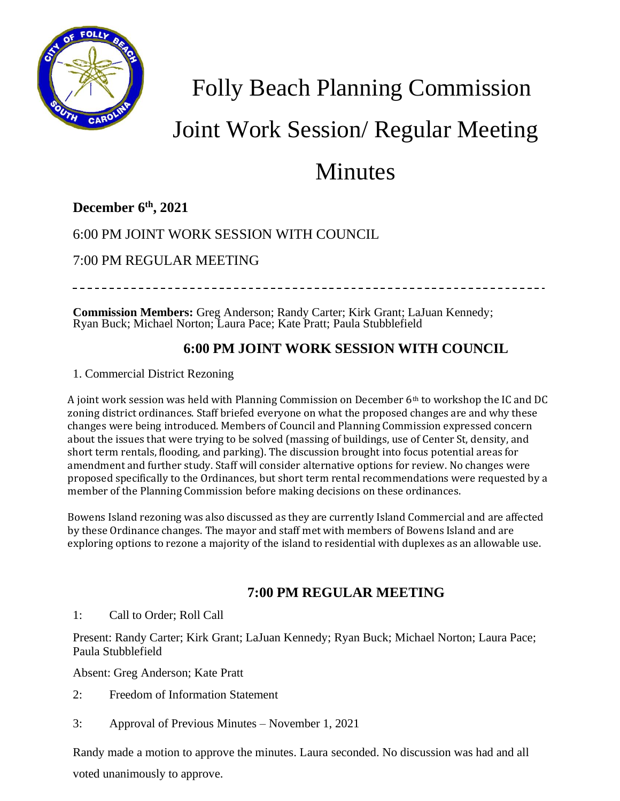

## Folly Beach Planning Commission

# Joint Work Session/ Regular Meeting

### Minutes

#### **December 6 th , 2021**

#### 6:00 PM JOINT WORK SESSION WITH COUNCIL

7:00 PM REGULAR MEETING

**Commission Members:** Greg Anderson; Randy Carter; Kirk Grant; LaJuan Kennedy; Ryan Buck; Michael Norton; Laura Pace; Kate Pratt; Paula Stubblefield

#### **6:00 PM JOINT WORK SESSION WITH COUNCIL**

1. Commercial District Rezoning

A joint work session was held with Planning Commission on December 6th to workshop the IC and DC zoning district ordinances. Staff briefed everyone on what the proposed changes are and why these changes were being introduced. Members of Council and Planning Commission expressed concern about the issues that were trying to be solved (massing of buildings, use of Center St, density, and short term rentals, flooding, and parking). The discussion brought into focus potential areas for amendment and further study. Staff will consider alternative options for review. No changes were proposed specifically to the Ordinances, but short term rental recommendations were requested by a member of the Planning Commission before making decisions on these ordinances.

Bowens Island rezoning was also discussed as they are currently Island Commercial and are affected by these Ordinance changes. The mayor and staff met with members of Bowens Island and are exploring options to rezone a majority of the island to residential with duplexes as an allowable use.

#### **7:00 PM REGULAR MEETING**

1: Call to Order; Roll Call

Present: Randy Carter; Kirk Grant; LaJuan Kennedy; Ryan Buck; Michael Norton; Laura Pace; Paula Stubblefield

Absent: Greg Anderson; Kate Pratt

- 2: Freedom of Information Statement
- 3: Approval of Previous Minutes November 1, 2021

Randy made a motion to approve the minutes. Laura seconded. No discussion was had and all voted unanimously to approve.